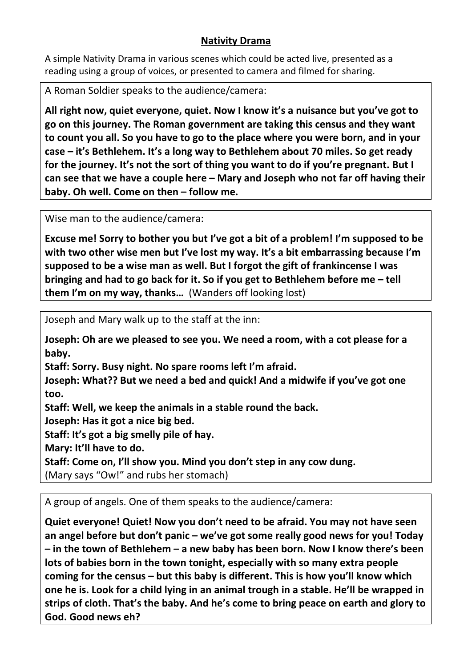## **Nativity Drama**

A simple Nativity Drama in various scenes which could be acted live, presented as a reading using a group of voices, or presented to camera and filmed for sharing.

A Roman Soldier speaks to the audience/camera:

**All right now, quiet everyone, quiet. Now I know it's a nuisance but you've got to go on this journey. The Roman government are taking this census and they want to count you all. So you have to go to the place where you were born, and in your case – it's Bethlehem. It's a long way to Bethlehem about 70 miles. So get ready for the journey. It's not the sort of thing you want to do if you're pregnant. But I can see that we have a couple here – Mary and Joseph who not far off having their baby. Oh well. Come on then – follow me.**

Wise man to the audience/camera:

**Excuse me! Sorry to bother you but I've got a bit of a problem! I'm supposed to be with two other wise men but I've lost my way. It's a bit embarrassing because I'm supposed to be a wise man as well. But I forgot the gift of frankincense I was bringing and had to go back for it. So if you get to Bethlehem before me – tell them I'm on my way, thanks…** (Wanders off looking lost)

Joseph and Mary walk up to the staff at the inn:

**Joseph: Oh are we pleased to see you. We need a room, with a cot please for a baby.**

**Staff: Sorry. Busy night. No spare rooms left I'm afraid.**

**Joseph: What?? But we need a bed and quick! And a midwife if you've got one too.**

**Staff: Well, we keep the animals in a stable round the back.** 

**Joseph: Has it got a nice big bed.**

**Staff: It's got a big smelly pile of hay.**

**Mary: It'll have to do.**

**Staff: Come on, I'll show you. Mind you don't step in any cow dung.**

(Mary says "Ow!" and rubs her stomach)

A group of angels. One of them speaks to the audience/camera:

**Quiet everyone! Quiet! Now you don't need to be afraid. You may not have seen an angel before but don't panic – we've got some really good news for you! Today – in the town of Bethlehem – a new baby has been born. Now I know there's been lots of babies born in the town tonight, especially with so many extra people coming for the census – but this baby is different. This is how you'll know which one he is. Look for a child lying in an animal trough in a stable. He'll be wrapped in strips of cloth. That's the baby. And he's come to bring peace on earth and glory to God. Good news eh?**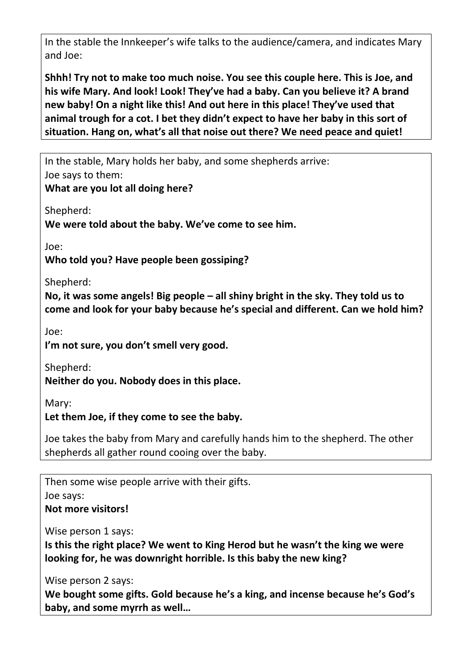In the stable the Innkeeper's wife talks to the audience/camera, and indicates Mary and Joe:

**Shhh! Try not to make too much noise. You see this couple here. This is Joe, and his wife Mary. And look! Look! They've had a baby. Can you believe it? A brand new baby! On a night like this! And out here in this place! They've used that animal trough for a cot. I bet they didn't expect to have her baby in this sort of situation. Hang on, what's all that noise out there? We need peace and quiet!**

In the stable, Mary holds her baby, and some shepherds arrive: Joe says to them:

**What are you lot all doing here?**

Shepherd:

**We were told about the baby. We've come to see him.**

Joe:

**Who told you? Have people been gossiping?**

Shepherd:

**No, it was some angels! Big people – all shiny bright in the sky. They told us to come and look for your baby because he's special and different. Can we hold him?**

Joe:

**I'm not sure, you don't smell very good.**

Shepherd:

**Neither do you. Nobody does in this place.**

Mary:

**Let them Joe, if they come to see the baby.**

Joe takes the baby from Mary and carefully hands him to the shepherd. The other shepherds all gather round cooing over the baby.

Then some wise people arrive with their gifts. Joe says: **Not more visitors!**

Wise person 1 says:

**Is this the right place? We went to King Herod but he wasn't the king we were looking for, he was downright horrible. Is this baby the new king?**

Wise person 2 says:

**We bought some gifts. Gold because he's a king, and incense because he's God's baby, and some myrrh as well…**